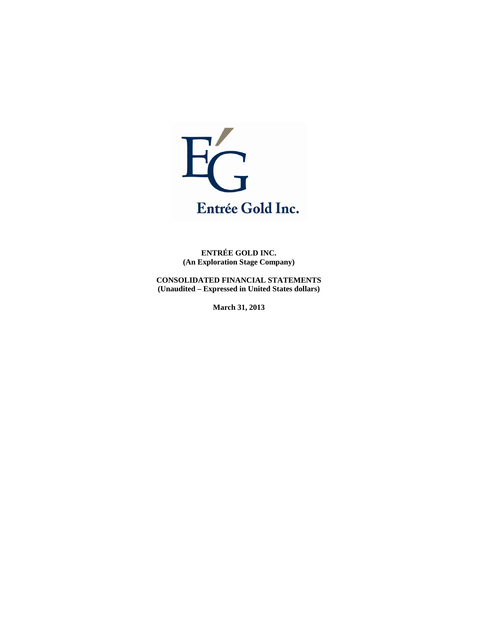

**ENTRÉE GOLD INC. (An Exploration Stage Company)** 

**CONSOLIDATED FINANCIAL STATEMENTS (Unaudited – Expressed in United States dollars)** 

**March 31, 2013**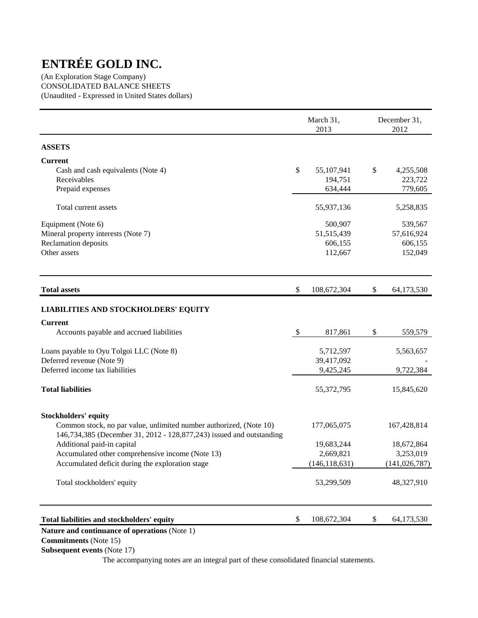(An Exploration Stage Company) CONSOLIDATED BALANCE SHEETS (Unaudited - Expressed in United States dollars)

|                                                                                                                                            |                           | March 31,<br>2013 | December 31,<br>2012 |
|--------------------------------------------------------------------------------------------------------------------------------------------|---------------------------|-------------------|----------------------|
| <b>ASSETS</b>                                                                                                                              |                           |                   |                      |
| <b>Current</b>                                                                                                                             |                           |                   |                      |
| Cash and cash equivalents (Note 4)                                                                                                         | \$                        | 55,107,941        | \$<br>4,255,508      |
| Receivables                                                                                                                                |                           | 194,751           | 223,722              |
| Prepaid expenses                                                                                                                           |                           | 634,444           | 779,605              |
| Total current assets                                                                                                                       |                           | 55,937,136        | 5,258,835            |
| Equipment (Note 6)                                                                                                                         |                           | 500,907           | 539,567              |
| Mineral property interests (Note 7)                                                                                                        |                           | 51,515,439        | 57,616,924           |
| Reclamation deposits                                                                                                                       |                           | 606,155           | 606,155              |
| Other assets                                                                                                                               |                           | 112,667           | 152,049              |
| <b>Total assets</b>                                                                                                                        | \$                        | 108,672,304       | \$<br>64,173,530     |
| <b>LIABILITIES AND STOCKHOLDERS' EQUITY</b>                                                                                                |                           |                   |                      |
| <b>Current</b>                                                                                                                             |                           |                   |                      |
| Accounts payable and accrued liabilities                                                                                                   | $\boldsymbol{\mathsf{S}}$ | 817,861           | \$<br>559,579        |
| Loans payable to Oyu Tolgoi LLC (Note 8)                                                                                                   |                           | 5,712,597         | 5,563,657            |
| Deferred revenue (Note 9)                                                                                                                  |                           | 39,417,092        |                      |
| Deferred income tax liabilities                                                                                                            |                           | 9,425,245         | 9,722,384            |
| <b>Total liabilities</b>                                                                                                                   |                           | 55,372,795        | 15,845,620           |
| <b>Stockholders' equity</b>                                                                                                                |                           |                   |                      |
| Common stock, no par value, unlimited number authorized, (Note 10)<br>146,734,385 (December 31, 2012 - 128,877,243) issued and outstanding |                           | 177,065,075       | 167,428,814          |
| Additional paid-in capital                                                                                                                 |                           | 19,683,244        | 18,672,864           |
| Accumulated other comprehensive income (Note 13)                                                                                           |                           | 2,669,821         | 3,253,019            |
| Accumulated deficit during the exploration stage                                                                                           |                           | (146, 118, 631)   | (141, 026, 787)      |
| Total stockholders' equity                                                                                                                 |                           | 53,299,509        | 48,327,910           |
| Total liabilities and stockholders' equity                                                                                                 | \$                        | 108,672,304       | \$<br>64,173,530     |

## **Nature and continuance of operations** (Note 1)

 **Commitments** (Note 15)

 **Subsequent events** (Note 17)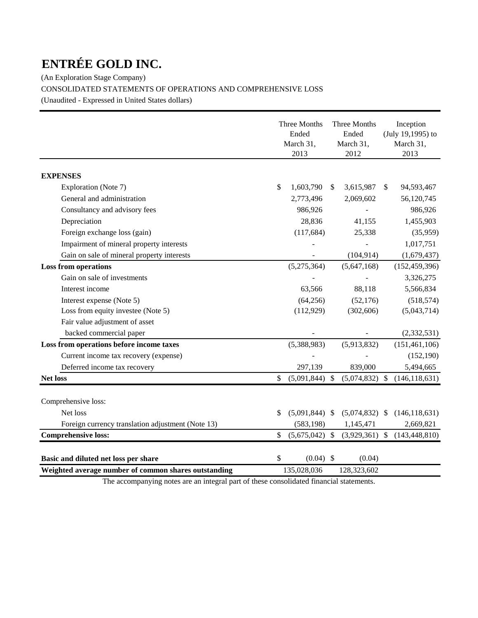(An Exploration Stage Company)

CONSOLIDATED STATEMENTS OF OPERATIONS AND COMPREHENSIVE LOSS

(Unaudited - Expressed in United States dollars)

|                                                      | Three Months<br>Ended<br>March 31,<br>2013 |                  |               | Three Months<br>Ended<br>March 31,<br>2012 |               | Inception<br>(July 19,1995) to<br>March 31,<br>2013 |
|------------------------------------------------------|--------------------------------------------|------------------|---------------|--------------------------------------------|---------------|-----------------------------------------------------|
|                                                      |                                            |                  |               |                                            |               |                                                     |
| <b>EXPENSES</b>                                      |                                            |                  |               |                                            |               |                                                     |
| Exploration (Note 7)                                 | \$                                         | 1,603,790        | <sup>\$</sup> | 3,615,987                                  | \$            | 94,593,467                                          |
| General and administration                           |                                            | 2,773,496        |               | 2,069,602                                  |               | 56,120,745                                          |
| Consultancy and advisory fees                        |                                            | 986,926          |               |                                            |               | 986,926                                             |
| Depreciation                                         |                                            | 28,836           |               | 41,155                                     |               | 1,455,903                                           |
| Foreign exchange loss (gain)                         |                                            | (117, 684)       |               | 25,338                                     |               | (35,959)                                            |
| Impairment of mineral property interests             |                                            |                  |               |                                            |               | 1,017,751                                           |
| Gain on sale of mineral property interests           |                                            |                  |               | (104, 914)                                 |               | (1,679,437)                                         |
| <b>Loss from operations</b>                          |                                            | (5,275,364)      |               | (5,647,168)                                |               | (152, 459, 396)                                     |
| Gain on sale of investments                          |                                            |                  |               |                                            |               | 3,326,275                                           |
| Interest income                                      |                                            | 63,566           |               | 88,118                                     |               | 5,566,834                                           |
| Interest expense (Note 5)                            |                                            | (64, 256)        |               | (52, 176)                                  |               | (518, 574)                                          |
| Loss from equity investee (Note 5)                   |                                            | (112, 929)       |               | (302, 606)                                 |               | (5,043,714)                                         |
| Fair value adjustment of asset                       |                                            |                  |               |                                            |               |                                                     |
| backed commercial paper                              |                                            |                  |               |                                            |               | (2, 332, 531)                                       |
| Loss from operations before income taxes             |                                            | (5,388,983)      |               | (5,913,832)                                |               | (151, 461, 106)                                     |
| Current income tax recovery (expense)                |                                            |                  |               |                                            |               | (152, 190)                                          |
| Deferred income tax recovery                         |                                            | 297,139          |               | 839,000                                    |               | 5,494,665                                           |
| <b>Net loss</b>                                      | \$                                         | $(5,091,844)$ \$ |               | (5,074,832)                                | $\mathcal{S}$ | (146, 118, 631)                                     |
| Comprehensive loss:                                  |                                            |                  |               |                                            |               |                                                     |
| Net loss                                             | \$                                         | $(5,091,844)$ \$ |               | $(5,074,832)$ \$                           |               | (146, 118, 631)                                     |
| Foreign currency translation adjustment (Note 13)    |                                            | (583, 198)       |               | 1,145,471                                  |               | 2,669,821                                           |
| <b>Comprehensive loss:</b>                           | \$                                         | $(5,675,042)$ \$ |               | $(3,929,361)$ \$                           |               | (143, 448, 810)                                     |
|                                                      |                                            |                  |               |                                            |               |                                                     |
| Basic and diluted net loss per share                 | \$                                         | $(0.04)$ \$      |               | (0.04)                                     |               |                                                     |
| Weighted average number of common shares outstanding |                                            | 135,028,036      |               | 128,323,602                                |               |                                                     |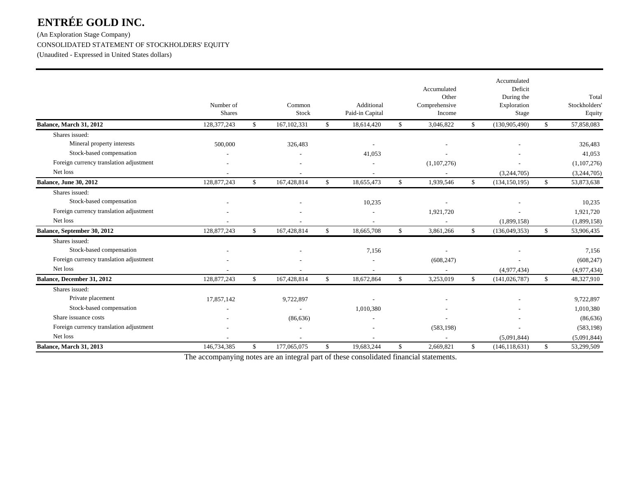(An Exploration Stage Company) CONSOLIDATED STATEMENT OF STOCKHOLDERS' EQUITY

(Unaudited - Expressed in United States dollars)

|                                         | Number of<br><b>Shares</b> |              | Common<br>Stock |              | Additional<br>Paid-in Capital | Accumulated<br>Other<br>Comprehensive<br>Income |              | Accumulated<br>Deficit<br>During the<br>Exploration<br>Stage |              | Total<br>Stockholders<br>Equity |
|-----------------------------------------|----------------------------|--------------|-----------------|--------------|-------------------------------|-------------------------------------------------|--------------|--------------------------------------------------------------|--------------|---------------------------------|
| Balance, March 31, 2012                 | 128,377,243                | \$           | 167, 102, 331   | \$           | 18,614,420                    | \$<br>3,046,822                                 | \$           | (130, 905, 490)                                              | $\mathbb{S}$ | 57,858,083                      |
| Shares issued:                          |                            |              |                 |              |                               |                                                 |              |                                                              |              |                                 |
| Mineral property interests              | 500,000                    |              | 326,483         |              |                               |                                                 |              |                                                              |              | 326,483                         |
| Stock-based compensation                |                            |              |                 |              | 41,053                        |                                                 |              |                                                              |              | 41,053                          |
| Foreign currency translation adjustment |                            |              |                 |              |                               | (1,107,276)                                     |              |                                                              |              | (1,107,276)                     |
| Net loss                                |                            |              |                 |              |                               |                                                 |              | (3,244,705)                                                  |              | (3,244,705)                     |
| Balance, June 30, 2012                  | 128,877,243                | $\mathbb{S}$ | 167,428,814     | $\mathbb{S}$ | 18,655,473                    | \$<br>1,939,546                                 | \$           | (134, 150, 195)                                              | $\mathbb{S}$ | 53,873,638                      |
| Shares issued:                          |                            |              |                 |              |                               |                                                 |              |                                                              |              |                                 |
| Stock-based compensation                |                            |              |                 |              | 10,235                        |                                                 |              |                                                              |              | 10,235                          |
| Foreign currency translation adjustment |                            |              |                 |              |                               | 1,921,720                                       |              |                                                              |              | 1,921,720                       |
| Net loss                                |                            |              |                 |              |                               |                                                 |              | (1,899,158)                                                  |              | (1,899,158)                     |
| Balance, September 30, 2012             | 128,877,243                | \$           | 167,428,814     | $\mathbb{S}$ | 18,665,708                    | \$<br>3,861,266                                 | $\mathbb{S}$ | (136,049,353)                                                | $\mathbb{S}$ | 53,906,435                      |
| Shares issued:                          |                            |              |                 |              |                               |                                                 |              |                                                              |              |                                 |
| Stock-based compensation                |                            |              |                 |              | 7,156                         |                                                 |              |                                                              |              | 7,156                           |
| Foreign currency translation adjustment |                            |              |                 |              |                               | (608, 247)                                      |              |                                                              |              | (608, 247)                      |
| Net loss                                |                            |              |                 |              |                               |                                                 |              | (4,977,434)                                                  |              | (4,977,434)                     |
| Balance, December 31, 2012              | 128,877,243                | \$           | 167,428,814     | \$           | 18,672,864                    | \$<br>3,253,019                                 | \$           | (141, 026, 787)                                              | \$           | 48,327,910                      |
| Shares issued:                          |                            |              |                 |              |                               |                                                 |              |                                                              |              |                                 |
| Private placement                       | 17,857,142                 |              | 9,722,897       |              |                               |                                                 |              |                                                              |              | 9,722,897                       |
| Stock-based compensation                |                            |              |                 |              | 1,010,380                     |                                                 |              |                                                              |              | 1,010,380                       |
| Share issuance costs                    |                            |              | (86, 636)       |              |                               |                                                 |              |                                                              |              | (86, 636)                       |
| Foreign currency translation adjustment |                            |              |                 |              |                               | (583, 198)                                      |              |                                                              |              | (583, 198)                      |
| Net loss                                |                            |              |                 |              |                               |                                                 |              | (5,091,844)                                                  |              | (5,091,844)                     |
| Balance, March 31, 2013                 | 146,734,385                | \$           | 177,065,075     | \$           | 19,683,244                    | \$<br>2,669,821                                 | \$           | (146, 118, 631)                                              | \$           | 53,299,509                      |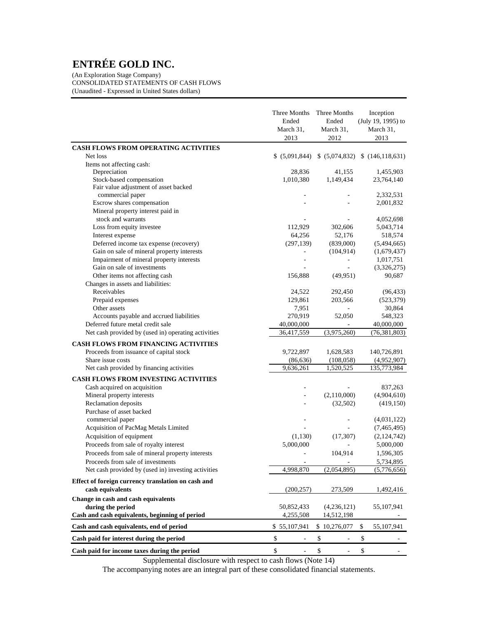(An Exploration Stage Company) CONSOLIDATED STATEMENTS OF CASH FLOWS (Unaudited - Expressed in United States dollars)

|                                                         | Three Months<br>Ended<br>March 31,<br>2013 | Three Months<br>Ended<br>March 31.<br>2012 | Inception<br>(July 19, 1995) to<br>March 31,<br>2013 |
|---------------------------------------------------------|--------------------------------------------|--------------------------------------------|------------------------------------------------------|
| CASH FLOWS FROM OPERATING ACTIVITIES                    |                                            |                                            |                                                      |
| Net loss                                                | \$(5,091,844)                              |                                            | \$ (5,074,832) \$ (146,118,631)                      |
| Items not affecting cash:                               |                                            |                                            |                                                      |
| Depreciation                                            | 28,836                                     | 41,155                                     | 1,455,903                                            |
| Stock-based compensation                                | 1,010,380                                  | 1,149,434                                  | 23,764,140                                           |
| Fair value adjustment of asset backed                   |                                            |                                            |                                                      |
| commercial paper                                        |                                            |                                            | 2,332,531                                            |
| Escrow shares compensation                              |                                            |                                            | 2,001,832                                            |
| Mineral property interest paid in<br>stock and warrants |                                            |                                            |                                                      |
|                                                         |                                            |                                            | 4,052,698                                            |
| Loss from equity investee<br>Interest expense           | 112,929<br>64,256                          | 302,606<br>52,176                          | 5,043,714<br>518,574                                 |
| Deferred income tax expense (recovery)                  | (297, 139)                                 | (839,000)                                  | (5,494,665)                                          |
| Gain on sale of mineral property interests              | L,                                         | (104, 914)                                 | (1,679,437)                                          |
| Impairment of mineral property interests                |                                            | $\overline{a}$                             | 1,017,751                                            |
| Gain on sale of investments                             |                                            |                                            | (3,326,275)                                          |
| Other items not affecting cash                          | 156,888                                    | (49, 951)                                  | 90,687                                               |
| Changes in assets and liabilities:                      |                                            |                                            |                                                      |
| Receivables                                             | 24,522                                     | 292,450                                    | (96, 433)                                            |
| Prepaid expenses                                        | 129,861                                    | 203,566                                    | (523, 379)                                           |
| Other assets                                            | 7,951                                      |                                            | 30,864                                               |
| Accounts payable and accrued liabilities                | 270,919                                    | 52,050                                     | 548,323                                              |
| Deferred future metal credit sale                       | 40,000,000                                 |                                            | 40,000,000                                           |
| Net cash provided by (used in) operating activities     | 36,417,559                                 | (3,975,260)                                | (76, 381, 803)                                       |
| <b>CASH FLOWS FROM FINANCING ACTIVITIES</b>             |                                            |                                            |                                                      |
| Proceeds from issuance of capital stock                 | 9,722,897                                  | 1,628,583                                  | 140,726,891                                          |
| Share issue costs                                       | (86, 636)                                  | (108, 058)                                 | (4,952,907)                                          |
| Net cash provided by financing activities               | 9,636,261                                  | 1,520,525                                  | 135,773,984                                          |
| CASH FLOWS FROM INVESTING ACTIVITIES                    |                                            |                                            |                                                      |
| Cash acquired on acquisition                            |                                            |                                            | 837,263                                              |
| Mineral property interests                              |                                            | (2,110,000)                                | (4,904,610)                                          |
| Reclamation deposits                                    |                                            | (32,502)                                   | (419, 150)                                           |
| Purchase of asset backed                                |                                            |                                            |                                                      |
| commercial paper                                        |                                            |                                            | (4,031,122)                                          |
| Acquisition of PacMag Metals Limited                    |                                            |                                            | (7,465,495)                                          |
| Acquisition of equipment                                | (1,130)                                    | (17, 307)                                  | (2,124,742)                                          |
| Proceeds from sale of royalty interest                  | 5,000,000                                  |                                            | 5,000,000                                            |
| Proceeds from sale of mineral property interests        | $\overline{a}$                             | 104,914                                    | 1,596,305                                            |
| Proceeds from sale of investments                       |                                            |                                            | 5,734,895                                            |
| Net cash provided by (used in) investing activities     | 4,998,870                                  | (2,054,895)                                | (5,776,656)                                          |
| Effect of foreign currency translation on cash and      |                                            |                                            |                                                      |
| cash equivalents                                        | (200, 257)                                 | 273,509                                    | 1,492,416                                            |
| Change in cash and cash equivalents                     |                                            |                                            |                                                      |
| during the period                                       | 50,852,433                                 | (4,236,121)                                | 55,107,941                                           |
| Cash and cash equivalents, beginning of period          | 4,255,508                                  | 14,512,198                                 |                                                      |
| Cash and cash equivalents, end of period                | \$55,107,941                               | \$10,276,077                               | 55,107,941<br>\$                                     |
| Cash paid for interest during the period                | $\mathbb{S}$<br>÷,                         | \$                                         | \$                                                   |
| Cash paid for income taxes during the period            | \$                                         | $\$$                                       | \$                                                   |

Supplemental disclosure with respect to cash flows (Note 14)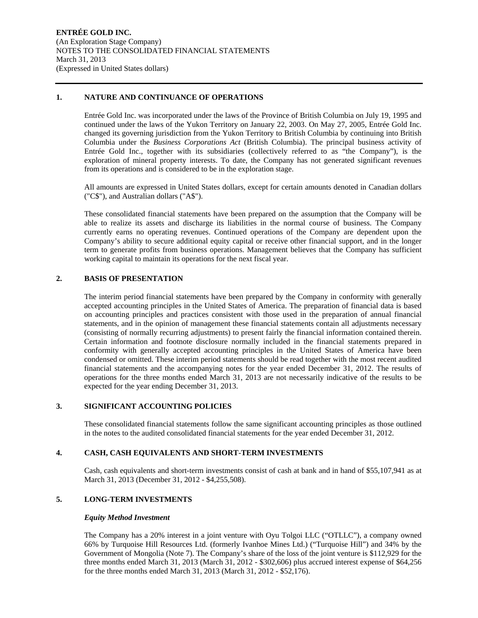#### **1. NATURE AND CONTINUANCE OF OPERATIONS**

Entrée Gold Inc. was incorporated under the laws of the Province of British Columbia on July 19, 1995 and continued under the laws of the Yukon Territory on January 22, 2003. On May 27, 2005, Entrée Gold Inc. changed its governing jurisdiction from the Yukon Territory to British Columbia by continuing into British Columbia under the *Business Corporations Act* (British Columbia). The principal business activity of Entrée Gold Inc., together with its subsidiaries (collectively referred to as "the Company"), is the exploration of mineral property interests. To date, the Company has not generated significant revenues from its operations and is considered to be in the exploration stage.

All amounts are expressed in United States dollars, except for certain amounts denoted in Canadian dollars ("C\$"), and Australian dollars ("A\$").

These consolidated financial statements have been prepared on the assumption that the Company will be able to realize its assets and discharge its liabilities in the normal course of business. The Company currently earns no operating revenues. Continued operations of the Company are dependent upon the Company's ability to secure additional equity capital or receive other financial support, and in the longer term to generate profits from business operations. Management believes that the Company has sufficient working capital to maintain its operations for the next fiscal year.

## **2. BASIS OF PRESENTATION**

The interim period financial statements have been prepared by the Company in conformity with generally accepted accounting principles in the United States of America. The preparation of financial data is based on accounting principles and practices consistent with those used in the preparation of annual financial statements, and in the opinion of management these financial statements contain all adjustments necessary (consisting of normally recurring adjustments) to present fairly the financial information contained therein. Certain information and footnote disclosure normally included in the financial statements prepared in conformity with generally accepted accounting principles in the United States of America have been condensed or omitted. These interim period statements should be read together with the most recent audited financial statements and the accompanying notes for the year ended December 31, 2012. The results of operations for the three months ended March 31, 2013 are not necessarily indicative of the results to be expected for the year ending December 31, 2013.

## **3. SIGNIFICANT ACCOUNTING POLICIES**

These consolidated financial statements follow the same significant accounting principles as those outlined in the notes to the audited consolidated financial statements for the year ended December 31, 2012.

## **4. CASH, CASH EQUIVALENTS AND SHORT-TERM INVESTMENTS**

Cash, cash equivalents and short-term investments consist of cash at bank and in hand of \$55,107,941 as at March 31, 2013 (December 31, 2012 - \$4,255,508).

## **5. LONG-TERM INVESTMENTS**

#### *Equity Method Investment*

The Company has a 20% interest in a joint venture with Oyu Tolgoi LLC ("OTLLC"), a company owned 66% by Turquoise Hill Resources Ltd. (formerly Ivanhoe Mines Ltd.) ("Turquoise Hill") and 34% by the Government of Mongolia (Note 7). The Company's share of the loss of the joint venture is \$112,929 for the three months ended March 31, 2013 (March 31, 2012 - \$302,606) plus accrued interest expense of \$64,256 for the three months ended March 31, 2013 (March 31, 2012 - \$52,176).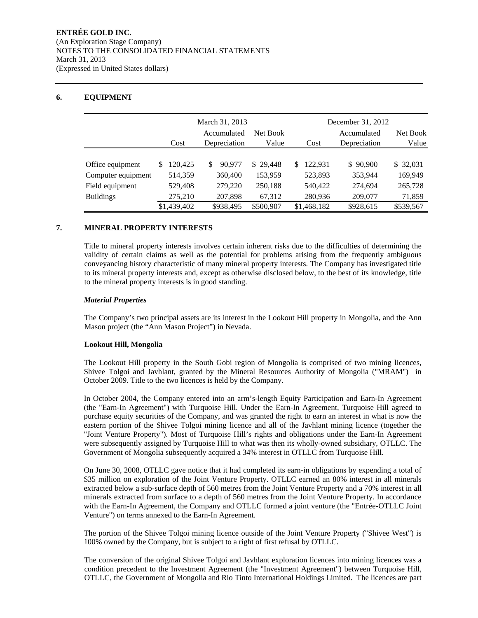## **6. EQUIPMENT**

|                    |             | March 31, 2013 |           | December 31, 2012 |              |           |  |
|--------------------|-------------|----------------|-----------|-------------------|--------------|-----------|--|
|                    |             | Accumulated    | Net Book  |                   | Accumulated  | Net Book  |  |
|                    | Cost        | Depreciation   | Value     | Cost              | Depreciation | Value     |  |
|                    |             |                |           |                   |              |           |  |
| Office equipment   | 120.425     | 90,977<br>\$   | \$29,448  | 122.931<br>\$.    | \$90,900     | \$ 32,031 |  |
| Computer equipment | 514,359     | 360,400        | 153,959   | 523,893           | 353,944      | 169.949   |  |
| Field equipment    | 529,408     | 279,220        | 250,188   | 540,422           | 274,694      | 265,728   |  |
| <b>Buildings</b>   | 275,210     | 207,898        | 67,312    | 280,936           | 209,077      | 71,859    |  |
|                    | \$1,439,402 | \$938,495      | \$500,907 | \$1,468,182       | \$928,615    | \$539,567 |  |

## **7. MINERAL PROPERTY INTERESTS**

Title to mineral property interests involves certain inherent risks due to the difficulties of determining the validity of certain claims as well as the potential for problems arising from the frequently ambiguous conveyancing history characteristic of many mineral property interests. The Company has investigated title to its mineral property interests and, except as otherwise disclosed below, to the best of its knowledge, title to the mineral property interests is in good standing.

#### *Material Properties*

The Company's two principal assets are its interest in the Lookout Hill property in Mongolia, and the Ann Mason project (the "Ann Mason Project") in Nevada.

## **Lookout Hill, Mongolia**

The Lookout Hill property in the South Gobi region of Mongolia is comprised of two mining licences, Shivee Tolgoi and Javhlant, granted by the Mineral Resources Authority of Mongolia ("MRAM") in October 2009. Title to the two licences is held by the Company.

In October 2004, the Company entered into an arm's-length Equity Participation and Earn-In Agreement (the "Earn-In Agreement") with Turquoise Hill. Under the Earn-In Agreement, Turquoise Hill agreed to purchase equity securities of the Company, and was granted the right to earn an interest in what is now the eastern portion of the Shivee Tolgoi mining licence and all of the Javhlant mining licence (together the "Joint Venture Property"). Most of Turquoise Hill's rights and obligations under the Earn-In Agreement were subsequently assigned by Turquoise Hill to what was then its wholly-owned subsidiary, OTLLC. The Government of Mongolia subsequently acquired a 34% interest in OTLLC from Turquoise Hill.

On June 30, 2008, OTLLC gave notice that it had completed its earn-in obligations by expending a total of \$35 million on exploration of the Joint Venture Property. OTLLC earned an 80% interest in all minerals extracted below a sub-surface depth of 560 metres from the Joint Venture Property and a 70% interest in all minerals extracted from surface to a depth of 560 metres from the Joint Venture Property. In accordance with the Earn-In Agreement, the Company and OTLLC formed a joint venture (the "Entrée-OTLLC Joint Venture") on terms annexed to the Earn-In Agreement.

The portion of the Shivee Tolgoi mining licence outside of the Joint Venture Property ("Shivee West") is 100% owned by the Company, but is subject to a right of first refusal by OTLLC.

The conversion of the original Shivee Tolgoi and Javhlant exploration licences into mining licences was a condition precedent to the Investment Agreement (the "Investment Agreement") between Turquoise Hill, OTLLC, the Government of Mongolia and Rio Tinto International Holdings Limited. The licences are part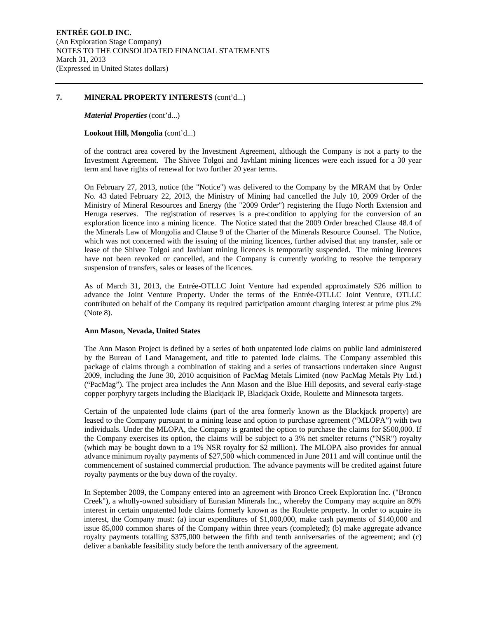#### **7. MINERAL PROPERTY INTERESTS** (cont'd...)

#### *Material Properties* (cont'd...)

#### **Lookout Hill, Mongolia** (cont'd...)

of the contract area covered by the Investment Agreement, although the Company is not a party to the Investment Agreement. The Shivee Tolgoi and Javhlant mining licences were each issued for a 30 year term and have rights of renewal for two further 20 year terms.

On February 27, 2013, notice (the "Notice") was delivered to the Company by the MRAM that by Order No. 43 dated February 22, 2013, the Ministry of Mining had cancelled the July 10, 2009 Order of the Ministry of Mineral Resources and Energy (the "2009 Order") registering the Hugo North Extension and Heruga reserves. The registration of reserves is a pre-condition to applying for the conversion of an exploration licence into a mining licence. The Notice stated that the 2009 Order breached Clause 48.4 of the Minerals Law of Mongolia and Clause 9 of the Charter of the Minerals Resource Counsel. The Notice, which was not concerned with the issuing of the mining licences, further advised that any transfer, sale or lease of the Shivee Tolgoi and Javhlant mining licences is temporarily suspended. The mining licences have not been revoked or cancelled, and the Company is currently working to resolve the temporary suspension of transfers, sales or leases of the licences.

As of March 31, 2013, the Entrée-OTLLC Joint Venture had expended approximately \$26 million to advance the Joint Venture Property. Under the terms of the Entrée-OTLLC Joint Venture, OTLLC contributed on behalf of the Company its required participation amount charging interest at prime plus 2% (Note 8).

#### **Ann Mason, Nevada, United States**

The Ann Mason Project is defined by a series of both unpatented lode claims on public land administered by the Bureau of Land Management, and title to patented lode claims. The Company assembled this package of claims through a combination of staking and a series of transactions undertaken since August 2009, including the June 30, 2010 acquisition of PacMag Metals Limited (now PacMag Metals Pty Ltd.) ("PacMag"). The project area includes the Ann Mason and the Blue Hill deposits, and several early-stage copper porphyry targets including the Blackjack IP, Blackjack Oxide, Roulette and Minnesota targets.

Certain of the unpatented lode claims (part of the area formerly known as the Blackjack property) are leased to the Company pursuant to a mining lease and option to purchase agreement ("MLOPA") with two individuals. Under the MLOPA, the Company is granted the option to purchase the claims for \$500,000. If the Company exercises its option, the claims will be subject to a 3% net smelter returns ("NSR") royalty (which may be bought down to a 1% NSR royalty for \$2 million). The MLOPA also provides for annual advance minimum royalty payments of \$27,500 which commenced in June 2011 and will continue until the commencement of sustained commercial production. The advance payments will be credited against future royalty payments or the buy down of the royalty.

In September 2009, the Company entered into an agreement with Bronco Creek Exploration Inc. ("Bronco Creek"), a wholly-owned subsidiary of Eurasian Minerals Inc., whereby the Company may acquire an 80% interest in certain unpatented lode claims formerly known as the Roulette property. In order to acquire its interest, the Company must: (a) incur expenditures of \$1,000,000, make cash payments of \$140,000 and issue 85,000 common shares of the Company within three years (completed); (b) make aggregate advance royalty payments totalling \$375,000 between the fifth and tenth anniversaries of the agreement; and (c) deliver a bankable feasibility study before the tenth anniversary of the agreement.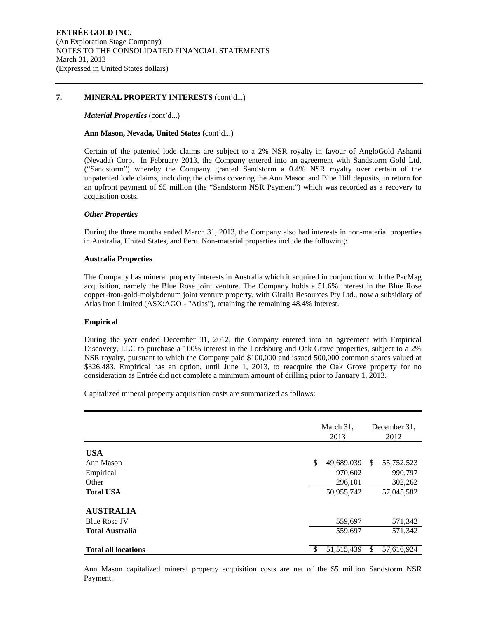#### **7. MINERAL PROPERTY INTERESTS** (cont'd...)

*Material Properties* (cont'd...)

#### **Ann Mason, Nevada, United States** (cont'd...)

Certain of the patented lode claims are subject to a 2% NSR royalty in favour of AngloGold Ashanti (Nevada) Corp. In February 2013, the Company entered into an agreement with Sandstorm Gold Ltd. ("Sandstorm") whereby the Company granted Sandstorm a 0.4% NSR royalty over certain of the unpatented lode claims, including the claims covering the Ann Mason and Blue Hill deposits, in return for an upfront payment of \$5 million (the "Sandstorm NSR Payment") which was recorded as a recovery to acquisition costs.

#### *Other Properties*

During the three months ended March 31, 2013, the Company also had interests in non-material properties in Australia, United States, and Peru. Non-material properties include the following:

#### **Australia Properties**

The Company has mineral property interests in Australia which it acquired in conjunction with the PacMag acquisition, namely the Blue Rose joint venture. The Company holds a 51.6% interest in the Blue Rose copper-iron-gold-molybdenum joint venture property, with Giralia Resources Pty Ltd., now a subsidiary of Atlas Iron Limited (ASX:AGO - "Atlas"), retaining the remaining 48.4% interest.

#### **Empirical**

During the year ended December 31, 2012, the Company entered into an agreement with Empirical Discovery, LLC to purchase a 100% interest in the Lordsburg and Oak Grove properties, subject to a 2% NSR royalty, pursuant to which the Company paid \$100,000 and issued 500,000 common shares valued at \$326,483. Empirical has an option, until June 1, 2013, to reacquire the Oak Grove property for no consideration as Entrée did not complete a minimum amount of drilling prior to January 1, 2013.

Capitalized mineral property acquisition costs are summarized as follows:

|                            |               | March 31,<br>2013 |     | December 31,<br>2012 |  |  |
|----------------------------|---------------|-------------------|-----|----------------------|--|--|
| <b>USA</b>                 |               |                   |     |                      |  |  |
| Ann Mason                  | \$            | 49,689,039        | \$. | 55,752,523           |  |  |
| Empirical                  |               | 970,602           |     | 990,797              |  |  |
| Other                      |               | 296,101           |     | 302,262              |  |  |
| <b>Total USA</b>           |               | 50,955,742        |     | 57,045,582           |  |  |
| <b>AUSTRALIA</b>           |               |                   |     |                      |  |  |
| <b>Blue Rose JV</b>        |               | 559,697           |     | 571,342              |  |  |
| <b>Total Australia</b>     |               | 559,697           |     | 571,342              |  |  |
| <b>Total all locations</b> | <sup>\$</sup> | 51, 515, 439      | \$  | 57,616,924           |  |  |

Ann Mason capitalized mineral property acquisition costs are net of the \$5 million Sandstorm NSR Payment.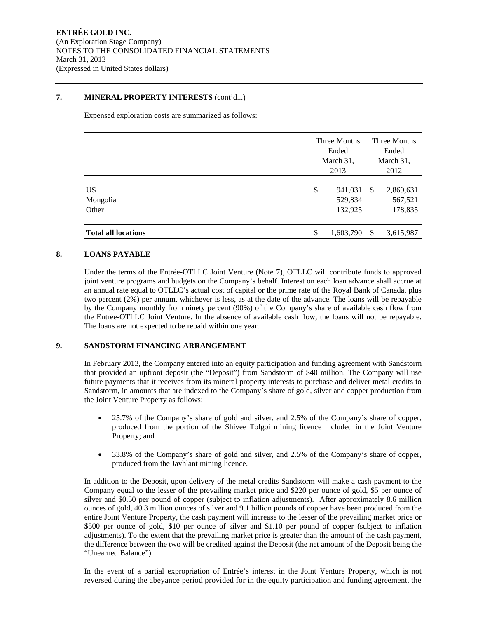#### **7. MINERAL PROPERTY INTERESTS** (cont'd...)

Expensed exploration costs are summarized as follows:

|                                | Three Months<br>Ended<br>March 31,<br>2013 | Three Months<br>Ended<br>March 31,<br>2012 |                                 |  |
|--------------------------------|--------------------------------------------|--------------------------------------------|---------------------------------|--|
| <b>US</b><br>Mongolia<br>Other | \$<br>941,031<br>529,834<br>132,925        | <sup>\$</sup>                              | 2,869,631<br>567,521<br>178,835 |  |
| <b>Total all locations</b>     | \$<br>1,603,790                            | <sup>\$</sup>                              | 3,615,987                       |  |

### **8. LOANS PAYABLE**

Under the terms of the Entrée-OTLLC Joint Venture (Note 7), OTLLC will contribute funds to approved joint venture programs and budgets on the Company's behalf. Interest on each loan advance shall accrue at an annual rate equal to OTLLC's actual cost of capital or the prime rate of the Royal Bank of Canada, plus two percent (2%) per annum, whichever is less, as at the date of the advance. The loans will be repayable by the Company monthly from ninety percent (90%) of the Company's share of available cash flow from the Entrée-OTLLC Joint Venture. In the absence of available cash flow, the loans will not be repayable. The loans are not expected to be repaid within one year.

## **9. SANDSTORM FINANCING ARRANGEMENT**

In February 2013, the Company entered into an equity participation and funding agreement with Sandstorm that provided an upfront deposit (the "Deposit") from Sandstorm of \$40 million. The Company will use future payments that it receives from its mineral property interests to purchase and deliver metal credits to Sandstorm, in amounts that are indexed to the Company's share of gold, silver and copper production from the Joint Venture Property as follows:

- 25.7% of the Company's share of gold and silver, and 2.5% of the Company's share of copper, produced from the portion of the Shivee Tolgoi mining licence included in the Joint Venture Property; and
- 33.8% of the Company's share of gold and silver, and 2.5% of the Company's share of copper, produced from the Javhlant mining licence.

In addition to the Deposit, upon delivery of the metal credits Sandstorm will make a cash payment to the Company equal to the lesser of the prevailing market price and \$220 per ounce of gold, \$5 per ounce of silver and \$0.50 per pound of copper (subject to inflation adjustments). After approximately 8.6 million ounces of gold, 40.3 million ounces of silver and 9.1 billion pounds of copper have been produced from the entire Joint Venture Property, the cash payment will increase to the lesser of the prevailing market price or \$500 per ounce of gold, \$10 per ounce of silver and \$1.10 per pound of copper (subject to inflation adjustments). To the extent that the prevailing market price is greater than the amount of the cash payment, the difference between the two will be credited against the Deposit (the net amount of the Deposit being the "Unearned Balance").

In the event of a partial expropriation of Entrée's interest in the Joint Venture Property, which is not reversed during the abeyance period provided for in the equity participation and funding agreement, the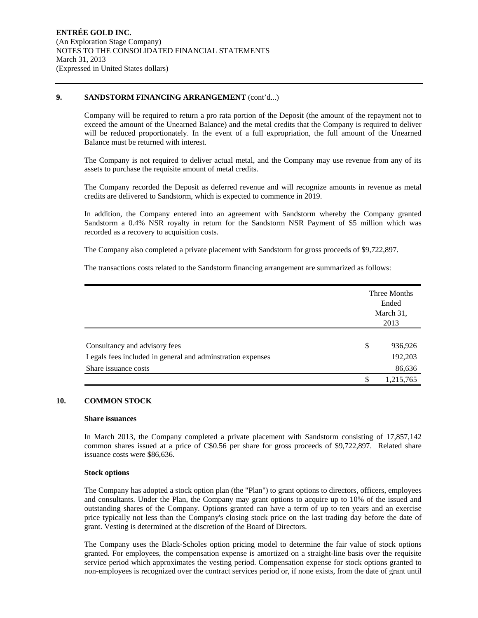#### **9. SANDSTORM FINANCING ARRANGEMENT** (cont'd...)

Company will be required to return a pro rata portion of the Deposit (the amount of the repayment not to exceed the amount of the Unearned Balance) and the metal credits that the Company is required to deliver will be reduced proportionately. In the event of a full expropriation, the full amount of the Unearned Balance must be returned with interest.

The Company is not required to deliver actual metal, and the Company may use revenue from any of its assets to purchase the requisite amount of metal credits.

The Company recorded the Deposit as deferred revenue and will recognize amounts in revenue as metal credits are delivered to Sandstorm, which is expected to commence in 2019.

In addition, the Company entered into an agreement with Sandstorm whereby the Company granted Sandstorm a 0.4% NSR royalty in return for the Sandstorm NSR Payment of \$5 million which was recorded as a recovery to acquisition costs.

The Company also completed a private placement with Sandstorm for gross proceeds of \$9,722,897.

The transactions costs related to the Sandstorm financing arrangement are summarized as follows:

|                                                            | Three Months<br>Ended<br>March 31,<br>2013 |           |  |
|------------------------------------------------------------|--------------------------------------------|-----------|--|
| Consultancy and advisory fees                              | \$                                         | 936,926   |  |
| Legals fees included in general and adminstration expenses |                                            | 192,203   |  |
| Share issuance costs                                       |                                            | 86,636    |  |
|                                                            | S                                          | 1,215,765 |  |

## **10. COMMON STOCK**

#### **Share issuances**

In March 2013, the Company completed a private placement with Sandstorm consisting of 17,857,142 common shares issued at a price of C\$0.56 per share for gross proceeds of \$9,722,897. Related share issuance costs were \$86,636.

#### **Stock options**

The Company has adopted a stock option plan (the "Plan") to grant options to directors, officers, employees and consultants. Under the Plan, the Company may grant options to acquire up to 10% of the issued and outstanding shares of the Company. Options granted can have a term of up to ten years and an exercise price typically not less than the Company's closing stock price on the last trading day before the date of grant. Vesting is determined at the discretion of the Board of Directors.

The Company uses the Black-Scholes option pricing model to determine the fair value of stock options granted. For employees, the compensation expense is amortized on a straight-line basis over the requisite service period which approximates the vesting period. Compensation expense for stock options granted to non-employees is recognized over the contract services period or, if none exists, from the date of grant until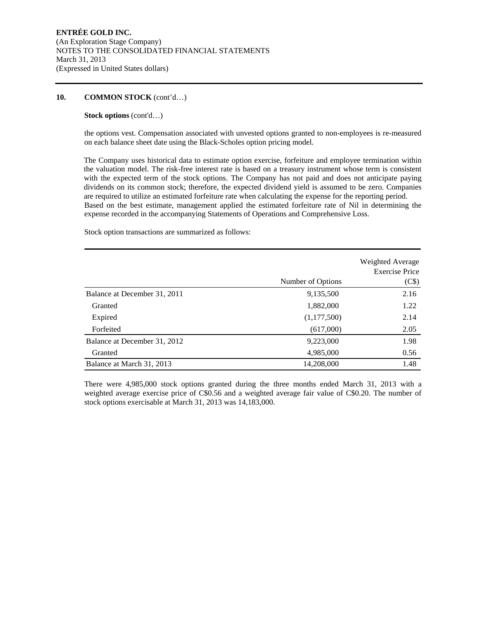#### **10. COMMON STOCK** (cont'd…)

#### **Stock options** (cont'd…)

the options vest. Compensation associated with unvested options granted to non-employees is re-measured on each balance sheet date using the Black-Scholes option pricing model.

The Company uses historical data to estimate option exercise, forfeiture and employee termination within the valuation model. The risk-free interest rate is based on a treasury instrument whose term is consistent with the expected term of the stock options. The Company has not paid and does not anticipate paying dividends on its common stock; therefore, the expected dividend yield is assumed to be zero. Companies are required to utilize an estimated forfeiture rate when calculating the expense for the reporting period. Based on the best estimate, management applied the estimated forfeiture rate of Nil in determining the expense recorded in the accompanying Statements of Operations and Comprehensive Loss.

Stock option transactions are summarized as follows:

|                              | Number of Options | Weighted Average<br><b>Exercise Price</b><br>(C\$) |
|------------------------------|-------------------|----------------------------------------------------|
| Balance at December 31, 2011 | 9,135,500         | 2.16                                               |
| Granted                      | 1,882,000         | 1.22                                               |
| Expired                      | (1,177,500)       | 2.14                                               |
| Forfeited                    | (617,000)         | 2.05                                               |
| Balance at December 31, 2012 | 9,223,000         | 1.98                                               |
| Granted                      | 4,985,000         | 0.56                                               |
| Balance at March 31, 2013    | 14,208,000        | 1.48                                               |

There were 4,985,000 stock options granted during the three months ended March 31, 2013 with a weighted average exercise price of C\$0.56 and a weighted average fair value of C\$0.20. The number of stock options exercisable at March 31, 2013 was 14,183,000.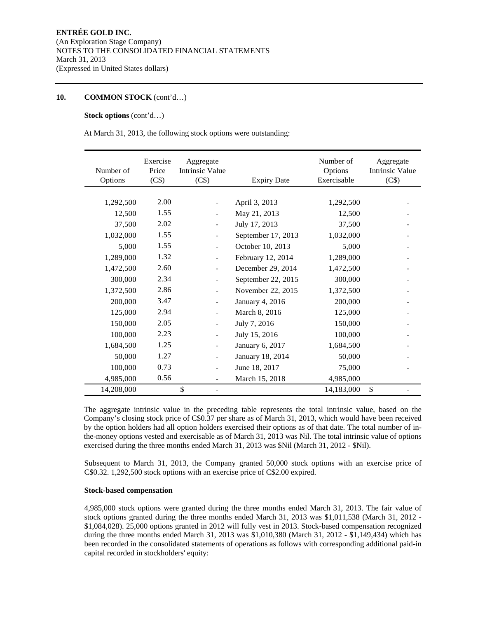### **10. COMMON STOCK** (cont'd…)

#### **Stock options** (cont'd…)

At March 31, 2013, the following stock options were outstanding:

| Number of<br>Options | Exercise<br>Price<br>(C\$) | Aggregate<br><b>Intrinsic Value</b><br>(C\$) | <b>Expiry Date</b> | Number of<br>Options<br>Exercisable | Aggregate<br><b>Intrinsic Value</b><br>(C\$) |
|----------------------|----------------------------|----------------------------------------------|--------------------|-------------------------------------|----------------------------------------------|
|                      |                            |                                              |                    |                                     |                                              |
| 1,292,500            | 2.00                       |                                              | April 3, 2013      | 1,292,500                           |                                              |
| 12,500               | 1.55                       |                                              | May 21, 2013       | 12,500                              |                                              |
| 37,500               | 2.02                       |                                              | July 17, 2013      | 37,500                              |                                              |
| 1,032,000            | 1.55                       | $\overline{\phantom{0}}$                     | September 17, 2013 | 1,032,000                           |                                              |
| 5,000                | 1.55                       | $\overline{a}$                               | October 10, 2013   | 5,000                               |                                              |
| 1,289,000            | 1.32                       |                                              | February 12, 2014  | 1,289,000                           |                                              |
| 1,472,500            | 2.60                       | $\overline{\phantom{0}}$                     | December 29, 2014  | 1,472,500                           |                                              |
| 300,000              | 2.34                       |                                              | September 22, 2015 | 300,000                             |                                              |
| 1,372,500            | 2.86                       |                                              | November 22, 2015  | 1,372,500                           |                                              |
| 200,000              | 3.47                       | $\overline{a}$                               | January 4, 2016    | 200,000                             |                                              |
| 125,000              | 2.94                       |                                              | March 8, 2016      | 125,000                             |                                              |
| 150,000              | 2.05                       |                                              | July 7, 2016       | 150,000                             |                                              |
| 100,000              | 2.23                       | $\overline{a}$                               | July 15, 2016      | 100,000                             |                                              |
| 1,684,500            | 1.25                       | $\overline{a}$                               | January 6, 2017    | 1,684,500                           |                                              |
| 50,000               | 1.27                       | $\overline{\phantom{0}}$                     | January 18, 2014   | 50,000                              |                                              |
| 100,000              | 0.73                       |                                              | June 18, 2017      | 75,000                              |                                              |
| 4,985,000            | 0.56                       | $\overline{\phantom{0}}$                     | March 15, 2018     | 4,985,000                           |                                              |
| 14,208,000           |                            | \$<br>Ξ.                                     |                    | 14,183,000                          | \$                                           |

The aggregate intrinsic value in the preceding table represents the total intrinsic value, based on the Company's closing stock price of C\$0.37 per share as of March 31, 2013, which would have been received by the option holders had all option holders exercised their options as of that date. The total number of inthe-money options vested and exercisable as of March 31, 2013 was Nil. The total intrinsic value of options exercised during the three months ended March 31, 2013 was \$Nil (March 31, 2012 - \$Nil).

Subsequent to March 31, 2013, the Company granted 50,000 stock options with an exercise price of C\$0.32. 1,292,500 stock options with an exercise price of C\$2.00 expired.

#### **Stock-based compensation**

4,985,000 stock options were granted during the three months ended March 31, 2013. The fair value of stock options granted during the three months ended March 31, 2013 was \$1,011,538 (March 31, 2012 - \$1,084,028). 25,000 options granted in 2012 will fully vest in 2013. Stock-based compensation recognized during the three months ended March 31, 2013 was \$1,010,380 (March 31, 2012 - \$1,149,434) which has been recorded in the consolidated statements of operations as follows with corresponding additional paid-in capital recorded in stockholders' equity: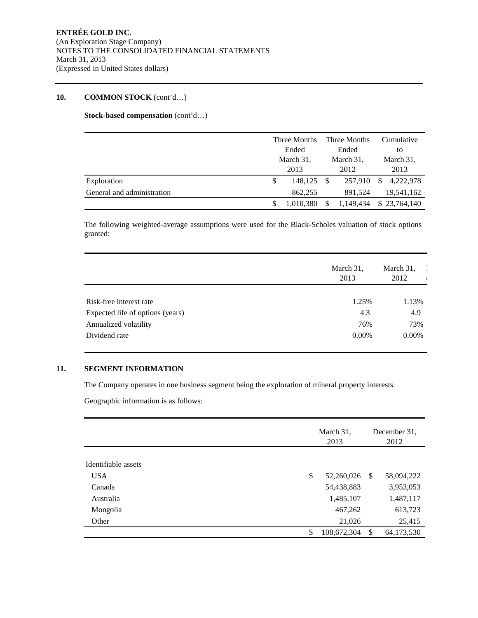## **10. COMMON STOCK** (cont'd…)

**Stock-based compensation** (cont'd…)

|                            |   | Three Months<br>Ended<br>March 31, |  | Three Months |   | Cumulative   |  |    |
|----------------------------|---|------------------------------------|--|--------------|---|--------------|--|----|
|                            |   |                                    |  |              |   | Ended        |  | to |
|                            |   |                                    |  | March 31,    |   | March 31,    |  |    |
|                            |   | 2013                               |  | 2012         |   | 2013         |  |    |
| Exploration                | S | 148,125                            |  | 257,910      | S | 4,222,978    |  |    |
| General and administration |   | 862,255                            |  | 891.524      |   | 19,541,162   |  |    |
|                            |   | 1,010,380                          |  | 1,149,434    |   | \$23,764,140 |  |    |

The following weighted-average assumptions were used for the Black-Scholes valuation of stock options granted:

|                                  | March 31,<br>2013 | March 31,<br>2012 |
|----------------------------------|-------------------|-------------------|
|                                  |                   |                   |
| Risk-free interest rate          | 1.25%             | 1.13%             |
| Expected life of options (years) | 4.3               | 4.9               |
| Annualized volatility            | 76%               | 73%               |
| Dividend rate                    | $0.00\%$          | $0.00\%$          |

### **11. SEGMENT INFORMATION**

The Company operates in one business segment being the exploration of mineral property interests.

Geographic information is as follows:

|                     | March 31,<br>2013 | December 31.<br>2012 |            |
|---------------------|-------------------|----------------------|------------|
|                     |                   |                      |            |
| Identifiable assets |                   |                      |            |
| <b>USA</b>          | \$<br>52,260,026  | - \$                 | 58,094,222 |
| Canada              | 54,438,883        |                      | 3,953,053  |
| Australia           | 1,485,107         |                      | 1,487,117  |
| Mongolia            | 467,262           |                      | 613,723    |
| Other               | 21,026            |                      | 25,415     |
|                     | \$<br>108,672,304 | -\$                  | 64,173,530 |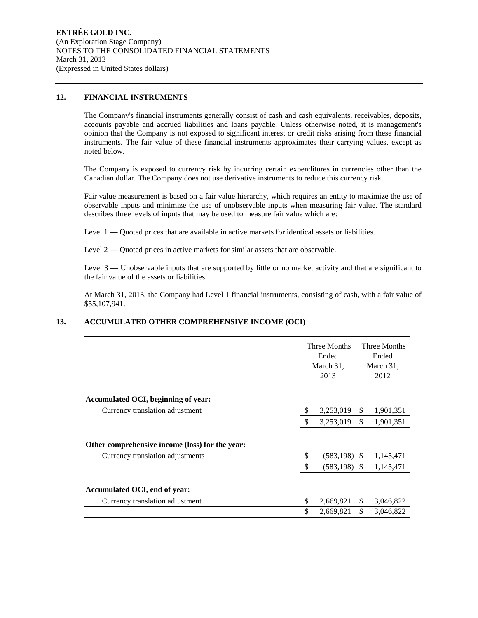#### **12. FINANCIAL INSTRUMENTS**

The Company's financial instruments generally consist of cash and cash equivalents, receivables, deposits, accounts payable and accrued liabilities and loans payable. Unless otherwise noted, it is management's opinion that the Company is not exposed to significant interest or credit risks arising from these financial instruments. The fair value of these financial instruments approximates their carrying values, except as noted below.

The Company is exposed to currency risk by incurring certain expenditures in currencies other than the Canadian dollar. The Company does not use derivative instruments to reduce this currency risk.

Fair value measurement is based on a fair value hierarchy, which requires an entity to maximize the use of observable inputs and minimize the use of unobservable inputs when measuring fair value. The standard describes three levels of inputs that may be used to measure fair value which are:

Level 1 — Quoted prices that are available in active markets for identical assets or liabilities.

Level  $2 -$  Quoted prices in active markets for similar assets that are observable.

Level 3 — Unobservable inputs that are supported by little or no market activity and that are significant to the fair value of the assets or liabilities.

At March 31, 2013, the Company had Level 1 financial instruments, consisting of cash, with a fair value of \$55,107,941.

## **13. ACCUMULATED OTHER COMPREHENSIVE INCOME (OCI)**

|                                                                                     | Three Months<br>Ended<br>March 31,<br>2013 | Three Months<br>Ended<br>March 31,<br>2012 |           |
|-------------------------------------------------------------------------------------|--------------------------------------------|--------------------------------------------|-----------|
| Accumulated OCI, beginning of year:                                                 |                                            |                                            |           |
| Currency translation adjustment                                                     | 3,253,019                                  | \$                                         | 1,901,351 |
|                                                                                     | 3,253,019                                  | $\mathbb{S}$                               | 1,901,351 |
| Other comprehensive income (loss) for the year:<br>Currency translation adjustments | $(583, 198)$ \$                            |                                            | 1,145,471 |
|                                                                                     | $(583, 198)$ \$                            |                                            | 1,145,471 |
| Accumulated OCI, end of year:<br>Currency translation adjustment                    | \$<br>2,669,821                            | <sup>\$</sup>                              | 3,046,822 |
|                                                                                     | \$<br>2,669,821                            | \$                                         | 3,046,822 |